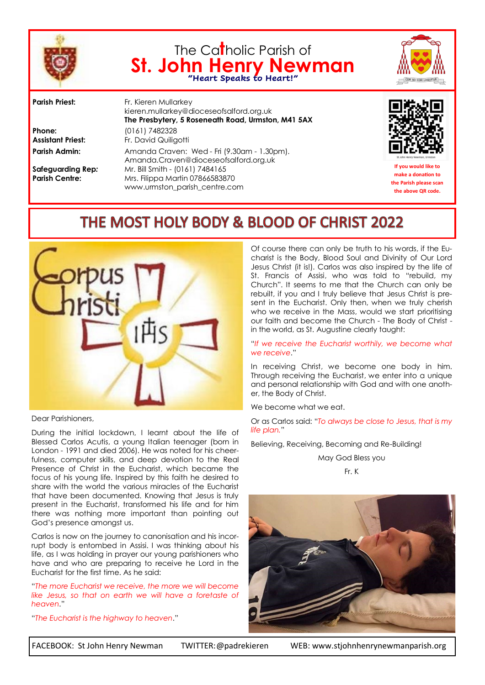

# The Ca**t**holic Parish of **St. John Henry Newman "Heart Speaks to Heart!"**



**Phone:** (0161) 7482328

**Parish Priest:** Fr. Kieren Mullarkey kieren.mullarkey@dioceseofsalford.org.uk **The Presbytery, 5 Roseneath Road, Urmston, M41 5AX Assistant Priest:** Fr. David Quiligotti Parish Admin: Amanda Craven: Wed - Fri (9.30am - 1.30pm). Amanda.Craven@dioceseofsalford.org.uk **Safeguarding Rep***:* Mr. Bill Smith - (0161) 7484165 **Parish Centre:** Mrs. Filippa Martin 07866583870 www.urmston\_parish\_centre.com



**If you would like to make a donation to the Parish please scan the above QR code.**

## THE MOST HOLY BODY & BLOOD OF CHRIST 2022



Dear Parishioners,

During the initial lockdown, I learnt about the life of Blessed Carlos Acutis, a young Italian teenager (born in London - 1991 and died 2006). He was noted for his cheerfulness, computer skills, and deep devotion to the Real Presence of Christ in the Eucharist, which became the focus of his young life. Inspired by this faith he desired to share with the world the various miracles of the Eucharist that have been documented. Knowing that Jesus is truly present in the Eucharist, transformed his life and for him there was nothing more important than pointing out God's presence amongst us.

Carlos is now on the journey to canonisation and his incorrupt body is entombed in Assisi. I was thinking about his life, as I was holding in prayer our young parishioners who have and who are preparing to receive he Lord in the Eucharist for the first time. As he said:

"*The more Eucharist we receive, the more we will become like Jesus, so that on earth we will have a foretaste of heaven*."

"*The Eucharist is the highway to heaven*."

Of course there can only be truth to his words, if the Eucharist is the Body, Blood Soul and Divinity of Our Lord Jesus Christ (it is!). Carlos was also inspired by the life of St. Francis of Assisi, who was told to "rebuild, my Church". It seems to me that the Church can only be rebuilt, if you and I truly believe that Jesus Christ is present in the Eucharist. Only then, when we truly cherish who we receive in the Mass, would we start prioritising our faith and become the Church - The Body of Christ in the world, as St. Augustine clearly taught:

"*If we receive the Eucharist worthily, we become what we receive*."

In receiving Christ, we become one body in him. Through receiving the Eucharist, we enter into a unique and personal relationship with God and with one another, the Body of Christ.

We become what we eat.

Or as Carlos said: "*To always be close to Jesus, that is my life plan.*"

Believing, Receiving, Becoming and Re-Building!

May God Bless you





FACEBOOK: St John Henry Newman TWITTER:@padrekieren WEB: www.stjohnhenrynewmanparish.org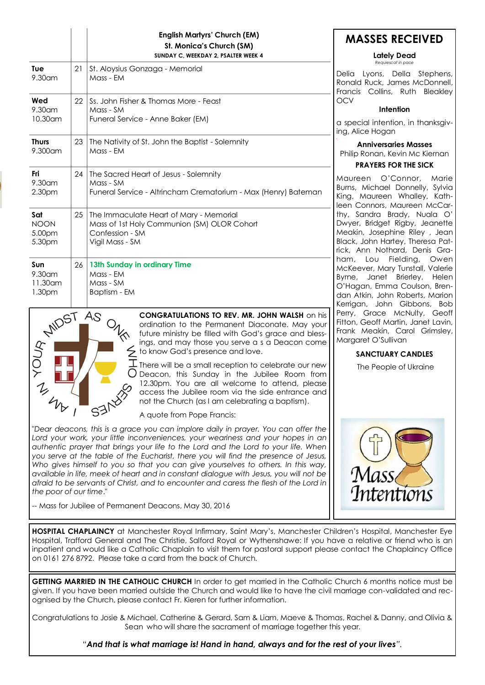|                                                               |    | <b>English Martyrs' Church (EM)</b><br>St. Monica's Church (SM)<br>SUNDAY C, WEEKDAY 2, PSALTER WEEK 4                       |
|---------------------------------------------------------------|----|------------------------------------------------------------------------------------------------------------------------------|
| Tue<br>9.30am                                                 | 21 | St. Aloysius Gonzaga - Memorial<br>Mass - EM                                                                                 |
| Wed<br>$9.30$ am<br>10.30 am                                  | 22 | Ss. John Fisher & Thomas More - Feast<br>Mass - SM<br>Funeral Service - Anne Baker (EM)                                      |
| <b>Thurs</b><br>$9.300$ am                                    | 23 | The Nativity of St. John the Baptist - Solemnity<br>Mass - EM                                                                |
| Fri<br>9.30am<br>2.30pm                                       | 24 | The Sacred Heart of Jesus - Solemnity<br>Mass - SM<br>Funeral Service - Altrincham Crematorium - Max (Henry) Bateman         |
| Sat<br><b>NOON</b><br>5.00pm<br>5.30pm                        | 25 | The Immaculate Heart of Mary - Memorial<br>Mass of 1st Holy Communion (SM) OLOR Cohort<br>Confession - SM<br>Vigil Mass - SM |
| Sun<br>9.30 <sub>cm</sub><br>$11.30$ am<br>1.30 <sub>pm</sub> | 26 | 13th Sunday in ordinary Time<br>Mass - EM<br>Mass - SM<br>Baptism - EM                                                       |



**CONGRATULATIONS TO REV. MR. JOHN WALSH** on his ordination to the Permanent Diaconate. May your future ministry be filled with God's grace and blessings, and may those you serve a s a Deacon come to know God's presence and love.

There will be a small reception to celebrate our new Deacon, this Sunday in the Jubilee Room from 12.30pm. You are all welcome to attend, please access the Jubilee room via the side entrance and not the Church (as I am celebrating a baptism).

A quote from Pope Francis:

"*Dear deacons, this is a grace you can implore daily in prayer. You can offer the*  Lord your work, your little inconveniences, your weariness and your hopes in an *authentic prayer that brings your life to the Lord and the Lord to your life. When you serve at the table of the Eucharist, there you will find the presence of Jesus, Who gives himself to you so that you can give yourselves to others. In this way, available in life, meek of heart and in constant dialogue with Jesus, you will not be afraid to be servants of Christ, and to encounter and caress the flesh of the Lord in the poor of our time*."

-- Mass for Jubilee of Permanent Deacons, May 30, 2016

### **MASSES RECEIVED**

#### **Lately Dead**  *Requiescat in pace*

Delia Lyons, Della Stephens, Ronald Ruck, James McDonnell, Francis Collins, Ruth Bleakley **OCV** 

#### **Intention**

a special intention, in thanksaiving, Alice Hogan

**Anniversaries Masses** Philip Ronan, Kevin Mc Kiernan

#### **PRAYERS FOR THE SICK**

Maureen O'Connor, Marie Burns, Michael Donnelly, Sylvia King, Maureen Whalley, Kathleen Connors, Maureen McCarthy, Sandra Brady, Nuala O' Dwyer, Bridget Rigby, Jeanette Meakin, Josephine Riley , Jean Black, John Hartey, Theresa Patrick, Ann Nothard, Denis Graham, Lou Fielding, Owen McKeever, Mary Tunstall, Valerie Byrne, Janet Brierley, Helen O'Hagan, Emma Coulson, Brendan Atkin, John Roberts, Marion Kerrigan, John Gibbons, Bob Perry, Grace McNulty, Geoff Fitton, Geoff Martin, Janet Lavin, Frank Meakin, Carol Grimsley, Margaret O'Sullivan

#### **SANCTUARY CANDLES**

The People of Ukraine



**HOSPITAL CHAPLAINCY** at Manchester Royal Infirmary, Saint Mary's, Manchester Children's Hospital, Manchester Eye Hospital, Trafford General and The Christie, Salford Royal or Wythenshawe: If you have a relative or friend who is an inpatient and would like a Catholic Chaplain to visit them for pastoral support please contact the Chaplaincy Office on 0161 276 8792. Please take a card from the back of Church.

**GETTING MARRIED IN THE CATHOLIC CHURCH** In order to get married in the Catholic Church 6 months notice must be given. If you have been married outside the Church and would like to have the civil marriage con-validated and recognised by the Church, please contact Fr. Kieren for further information.

Congratulations to Josie & Michael, Catherine & Gerard, Sam & Liam, Maeve & Thomas, Rachel & Danny, and Olivia & Sean who will share the sacrament of marriage together this year.

*"And that is what marriage is! Hand in hand, always and for the rest of your lives".*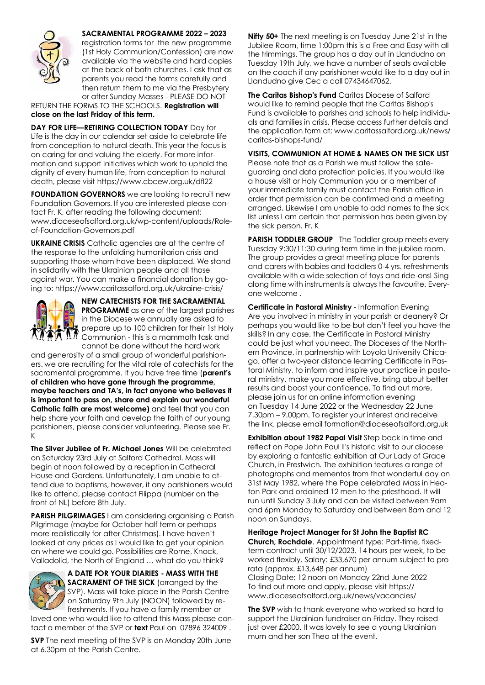

**SACRAMENTAL PROGRAMME 2022 – 2023**  registration forms for the new programme (1st Holy Communion/Confession) are now available via the website and hard copies at the back of both churches. I ask that as parents you read the forms carefully and then return them to me via the Presbytery or after Sunday Masses - PLEASE DO NOT

RETURN THE FORMS TO THE SCHOOLS. **Registration will close on the last Friday of this term.**

**DAY FOR LIFE—RETIRING COLLECTION TODAY** Day for Life is the day in our calendar set aside to celebrate life from conception to natural death. This year the focus is on caring for and valuing the elderly. For more information and support initiatives which work to uphold the dignity of every human life, from conception to natural death, please visit https://www.cbcew.org.uk/dfl22

**FOUNDATION GOVERNORS** we are looking to recruit new Foundation Governors. If you are interested please contact Fr. K, after reading the following document: www.dioceseofsalford.org.uk/wp-content/uploads/Roleof-Foundation-Governors.pdf

**UKRAINE CRISIS** Catholic agencies are at the centre of the response to the unfolding humanitarian crisis and supporting those whom have been displaced. We stand in solidarity with the Ukrainian people and all those against war. You can make a financial donation by going to: https://www.caritassalford.org.uk/ukraine-crisis/



**NEW CATECHISTS FOR THE SACRAMENTAL PROGRAMME** as one of the largest parishes in the Diocese we annually are asked to prepare up to 100 children for their 1st Holy **Communion - this is a mammoth task and<br>
A A Communion - this is a mammoth task and<br>
Work Work** cannot be done without the hard work

and generosity of a small group of wonderful parishioners. we are recruiting for the vital role of catechists for the sacramental programme. If you have free time (**parent's of children who have gone through the programme, maybe teachers and TA's, in fact anyone who believes it is important to pass on, share and explain our wonderful Catholic faith are most welcome)** and feel that you can help share your faith and develop the faith of our young parishioners, please consider volunteering. Please see Fr. K

**The Silver Jubilee of Fr. Michael Jones** Will be celebrated on Saturday 23rd July at Salford Cathedral. Mass will begin at noon followed by a reception in Cathedral House and Gardens. Unfortunately, I am unable to attend due to baptisms, however, if any parishioners would like to attend, please contact Filippa (number on the front of NL) before 8th July.

**PARISH PILGRIMAGES** I am considering organising a Parish Pilgrimage (maybe for October half term or perhaps more realistically for after Christmas). I have haven't looked at any prices as I would like to get your opinion on where we could go. Possibilities are Rome, Knock, Valladolid, the North of England … what do you think?



**A DATE FOR YOUR DIARIES - MASS WITH THE SACRAMENT OF THE SICK** (arranged by the SVP). Mass will take place in the Parish Centre on Saturday 9th July (NOON) followed by refreshments. If you have a family member or

loved one who would like to attend this Mass please contact a member of the SVP or **text** Paul on 07896 324009 .

**SVP** The next meeting of the SVP is on Monday 20th June at 6.30pm at the Parish Centre.

**Nifty 50+** The next meeting is on Tuesday June 21st in the Jubilee Room, time 1:00pm this is a Free and Easy with all the trimmings. The group has a day out in Llandudno on Tuesday 19th July, we have a number of seats available on the coach if any parishioner would like to a day out in Llandudno give Cec a call 07434647062.

**The Caritas Bishop's Fund Caritas Diocese of Salford** would like to remind people that the Caritas Bishop's Fund is available to parishes and schools to help individuals and families in crisis. Please access further details and the application form at: www.caritassalford.org.uk/news/ caritas-bishops-fund/

**VISITS, COMMUNION AT HOME & NAMES ON THE SICK LIST** 

Please note that as a Parish we must follow the safeguarding and data protection policies. If you would like a house visit or Holy Communion you or a member of your immediate family must contact the Parish office in order that permission can be confirmed and a meeting arranged. Likewise I am unable to add names to the sick list unless I am certain that permission has been given by the sick person. Fr. K

**PARISH TODDLER GROUP** The Toddler group meets every Tuesday 9:30/11:30 during term time in the jubilee room. The group provides a great meeting place for parents and carers with babies and toddlers 0-4 yrs. refreshments available with a wide selection of toys and ride-ons! Sing along time with instruments is always the favourite. Everyone welcome .

**Certificate in Pastoral Ministry** - Information Evening Are you involved in ministry in your parish or deanery? Or perhaps you would like to be but don't feel you have the skills? In any case, the Certificate in Pastoral Ministry could be just what you need. The Dioceses of the Northern Province, in partnership with Loyola University Chicago, offer a two-year distance learning Certificate in Pastoral Ministry, to inform and inspire your practice in pastoral ministry, make you more effective, bring about better results and boost your confidence. To find out more, please join us for an online information evening on Tuesday 14 June 2022 or the Wednesday 22 June 7.30pm – 9.00pm. To register your interest and receive the link, please email formation@dioceseofsalford.org.uk

**Exhibition about 1982 Papal Visit** Step back in time and reflect on Pope John Paul II's historic visit to our diocese by exploring a fantastic exhibition at Our Lady of Grace Church, in Prestwich. The exhibition features a range of photographs and mementos from that wonderful day on 31st May 1982, where the Pope celebrated Mass in Heaton Park and ordained 12 men to the priesthood. It will run until Sunday 3 July and can be visited between 9am and 6pm Monday to Saturday and between 8am and 12 noon on Sundays.

**Heritage Project Manager for St John the Baptist RC Church, Rochdale**. Appointment type: Part-time, fixedterm contract until 30/12/2023. 14 hours per week, to be worked flexibly. Salary: £33,670 per annum subject to pro rata (approx. £13,648 per annum) Closing Date: 12 noon on Monday 22nd June 2022 To find out more and apply, please visit https:// www.dioceseofsalford.org.uk/news/vacancies/

**The SVP** wish to thank everyone who worked so hard to support the Ukrainian fundraiser on Friday. They raised just over £2000. It was lovely to see a young Ukrainian mum and her son Theo at the event.